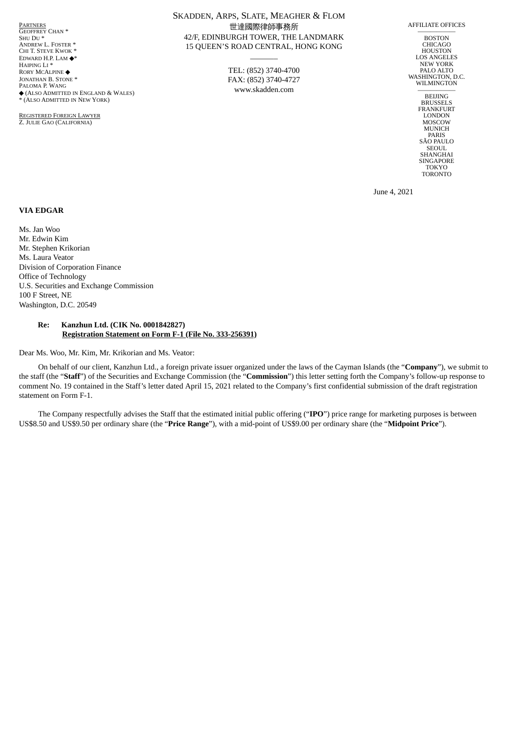<u>Partners</u><br>Geoffrey Chan \* SHU DU \* ANDREW L. FOSTER \* CHI T. STEVE KWOK \* EDWARD H.P. LAM ◆\* HAIPING LI \* RORY MCALPINE ◆ JONATHAN B. STONE \* PALOMA P. WANG ◆ (ALSO ADMITTED IN ENGLAND & WALES) \* (ALSO ADMITTED IN NEW YORK)

REGISTERED FOREIGN LAWYER Z. JULIE GAO (CALIFORNIA)

# SKADDEN, ARPS, SLATE, MEAGHER & FLOM 世達國際律師事務所 42/F, EDINBURGH TOWER, THE LANDMARK 15 QUEEN'S ROAD CENTRAL, HONG KONG

TEL: (852) 3740-4700 FAX: (852) 3740-4727 www.skadden.com

 $\overline{\phantom{a}}$ 

AFFILIATE OFFICES

—————— BOSTON CHICAGO **HOUSTON** LOS ANGELES NEW YORK PALO ALTO WASHINGTON, D.C. WILMINGTON

 $\overline{BEIJING}$ BRUSSELS FRANKFURT LONDON MOSCOW MUNICH PARIS SÃO PAULO SEOUL. SHANGHAI **SINGAPORE** TOKYO TORONTO

June 4, 2021

## **VIA EDGAR**

Ms. Jan Woo Mr. Edwin Kim Mr. Stephen Krikorian Ms. Laura Veator Division of Corporation Finance Office of Technology U.S. Securities and Exchange Commission 100 F Street, NE Washington, D.C. 20549

### **Re: Kanzhun Ltd. (CIK No. 0001842827) Registration Statement on Form F-1 (File No. 333-256391)**

Dear Ms. Woo, Mr. Kim, Mr. Krikorian and Ms. Veator:

On behalf of our client, Kanzhun Ltd., a foreign private issuer organized under the laws of the Cayman Islands (the "**Company**"), we submit to the staff (the "**Staff**") of the Securities and Exchange Commission (the "**Commission**") this letter setting forth the Company's follow-up response to comment No. 19 contained in the Staff's letter dated April 15, 2021 related to the Company's first confidential submission of the draft registration statement on Form F-1.

The Company respectfully advises the Staff that the estimated initial public offering ("**IPO**") price range for marketing purposes is between US\$8.50 and US\$9.50 per ordinary share (the "**Price Range**"), with a mid-point of US\$9.00 per ordinary share (the "**Midpoint Price**").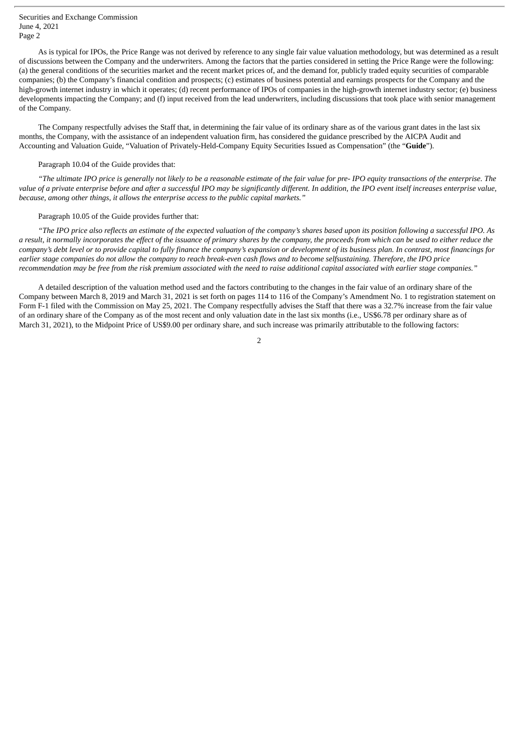Securities and Exchange Commission June 4, 2021 Page 2

As is typical for IPOs, the Price Range was not derived by reference to any single fair value valuation methodology, but was determined as a result of discussions between the Company and the underwriters. Among the factors that the parties considered in setting the Price Range were the following: (a) the general conditions of the securities market and the recent market prices of, and the demand for, publicly traded equity securities of comparable companies; (b) the Company's financial condition and prospects; (c) estimates of business potential and earnings prospects for the Company and the high-growth internet industry in which it operates; (d) recent performance of IPOs of companies in the high-growth internet industry sector; (e) business developments impacting the Company; and (f) input received from the lead underwriters, including discussions that took place with senior management of the Company.

The Company respectfully advises the Staff that, in determining the fair value of its ordinary share as of the various grant dates in the last six months, the Company, with the assistance of an independent valuation firm, has considered the guidance prescribed by the AICPA Audit and Accounting and Valuation Guide, "Valuation of Privately-Held-Company Equity Securities Issued as Compensation" (the "**Guide**").

#### Paragraph 10.04 of the Guide provides that:

"The ultimate IPO price is generally not likely to be a reasonable estimate of the fair value for pre-IPO equity transactions of the enterprise. The value of a private enterprise before and after a successful IPO may be sianificantly different. In addition, the IPO event itself increases enterprise value, *because, among other things, it allows the enterprise access to the public capital markets."*

## Paragraph 10.05 of the Guide provides further that:

"The IPO price also reflects an estimate of the expected valuation of the company's shares based upon its position following a successful IPO. As a result, it normally incorporates the effect of the issuance of primary shares by the company, the proceeds from which can be used to either reduce the company's debt level or to provide capital to fully finance the company's expansion or development of its business plan. In contrast, most financings for earlier stage companies do not allow the company to reach break-even cash flows and to become selfsustaining. Therefore, the IPO price recommendation may be free from the risk premium associated with the need to raise additional capital associated with earlier stage companies."

A detailed description of the valuation method used and the factors contributing to the changes in the fair value of an ordinary share of the Company between March 8, 2019 and March 31, 2021 is set forth on pages 114 to 116 of the Company's Amendment No. 1 to registration statement on Form F-1 filed with the Commission on May 25, 2021. The Company respectfully advises the Staff that there was a 32.7% increase from the fair value of an ordinary share of the Company as of the most recent and only valuation date in the last six months (i.e., US\$6.78 per ordinary share as of March 31, 2021), to the Midpoint Price of US\$9.00 per ordinary share, and such increase was primarily attributable to the following factors:

2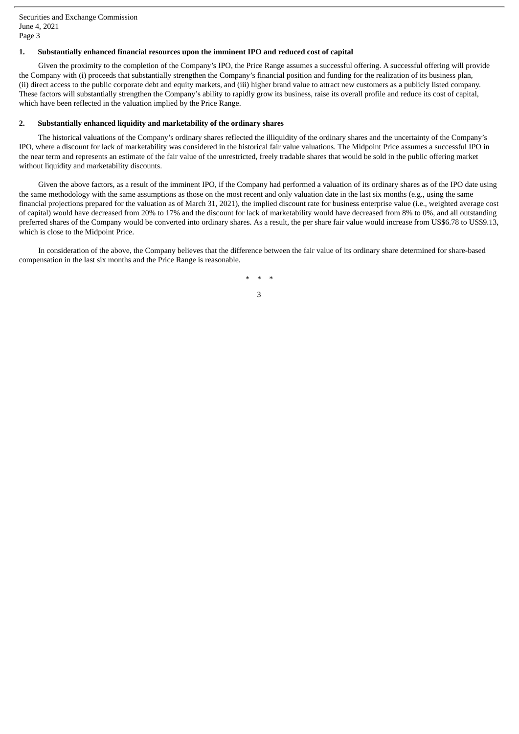Securities and Exchange Commission June 4, 2021 Page 3

# **1. Substantially enhanced financial resources upon the imminent IPO and reduced cost of capital**

Given the proximity to the completion of the Company's IPO, the Price Range assumes a successful offering. A successful offering will provide the Company with (i) proceeds that substantially strengthen the Company's financial position and funding for the realization of its business plan, (ii) direct access to the public corporate debt and equity markets, and (iii) higher brand value to attract new customers as a publicly listed company. These factors will substantially strengthen the Company's ability to rapidly grow its business, raise its overall profile and reduce its cost of capital, which have been reflected in the valuation implied by the Price Range.

## **2. Substantially enhanced liquidity and marketability of the ordinary shares**

The historical valuations of the Company's ordinary shares reflected the illiquidity of the ordinary shares and the uncertainty of the Company's IPO, where a discount for lack of marketability was considered in the historical fair value valuations. The Midpoint Price assumes a successful IPO in the near term and represents an estimate of the fair value of the unrestricted, freely tradable shares that would be sold in the public offering market without liquidity and marketability discounts.

Given the above factors, as a result of the imminent IPO, if the Company had performed a valuation of its ordinary shares as of the IPO date using the same methodology with the same assumptions as those on the most recent and only valuation date in the last six months (e.g., using the same financial projections prepared for the valuation as of March 31, 2021), the implied discount rate for business enterprise value (i.e., weighted average cost of capital) would have decreased from 20% to 17% and the discount for lack of marketability would have decreased from 8% to 0%, and all outstanding preferred shares of the Company would be converted into ordinary shares. As a result, the per share fair value would increase from US\$6.78 to US\$9.13, which is close to the Midpoint Price.

In consideration of the above, the Company believes that the difference between the fair value of its ordinary share determined for share-based compensation in the last six months and the Price Range is reasonable.

> *\* \* \** 3